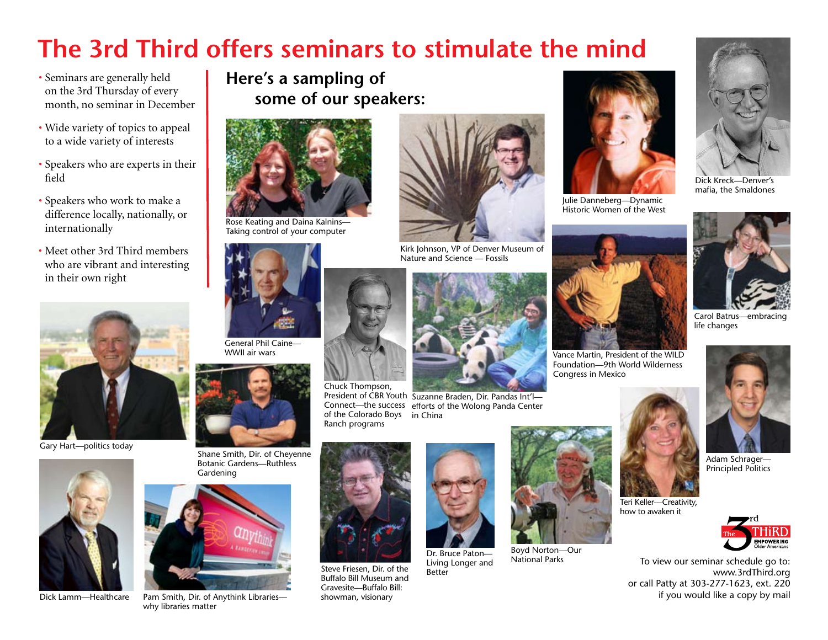## **The 3rd Third offers seminars to stimulate the mind**

- Seminars are generally held on the 3rd Thursday of every month, no seminar in December
- Wide variety of topics to appeal to a wide variety of interests
- Speakers who are experts in their field
- Speakers who work to make a difference locally, nationally, or internationally
- Meet other 3rd Third members who are vibrant and interesting in their own right



Gary Hart—politics today



Dick Lamm—Healthcare

**Here's a sampling of some of our speakers:**



Rose Keating and Daina Kalnins— Taking control of your computer





Pam Smith, Dir. of Anythink Libraries why libraries matter



Kirk Johnson, VP of Denver Museum of Nature and Science — Fossils



President of CBR Youth Suzanne Braden, Dir. Pandas Int'l-Connect—the success efforts of the Wolong Panda Center of the Colorado Boys in China



Chuck Thompson,

Ranch programs

Steve Friesen, Dir. of the Buffalo Bill Museum and Gravesite—Buffalo Bill: showman, visionary



Living Longer and Better



Boyd Norton—Our National Parks



Julie Danneberg—Dynamic Historic Women of the West



Teri Keller—Creativity, how to awaken it

Vance Martin, President of the WILD Foundation—9th World Wilderness Congress in Mexico



Dick Kreck—Denver's mafia, the Smaldones



Carol Batrus—embracing life changes



Adam Schrager— Principled Politics



To view our seminar schedule go to: www.3rdThird.org or call Patty at 303-277-1623, ext. 220 if you would like a copy by mail